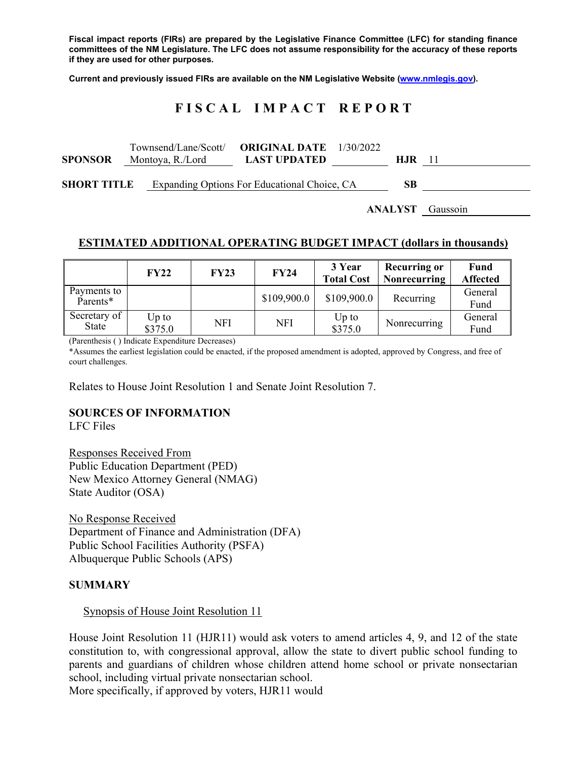**Fiscal impact reports (FIRs) are prepared by the Legislative Finance Committee (LFC) for standing finance committees of the NM Legislature. The LFC does not assume responsibility for the accuracy of these reports if they are used for other purposes.** 

**Current and previously issued FIRs are available on the NM Legislative Website (www.nmlegis.gov).** 

# **F I S C A L I M P A C T R E P O R T**

| <b>SPONSOR</b>     | Montoya, R./Lord | Townsend/Lane/Scott/ <b>ORIGINAL DATE</b> 1/30/2022<br><b>LAST UPDATED</b> | H.IR – |  |
|--------------------|------------------|----------------------------------------------------------------------------|--------|--|
| <b>SHORT TITLE</b> |                  | Expanding Options For Educational Choice, CA                               | SВ     |  |

**ANALYST** Gaussoin

# **ESTIMATED ADDITIONAL OPERATING BUDGET IMPACT (dollars in thousands)**

|                            | <b>FY22</b>        | <b>FY23</b> | <b>FY24</b> | 3 Year<br><b>Total Cost</b> | <b>Recurring or</b><br><b>Nonrecurring</b> | Fund<br><b>Affected</b> |
|----------------------------|--------------------|-------------|-------------|-----------------------------|--------------------------------------------|-------------------------|
| Payments to<br>$P$ arents* |                    |             | \$109,900.0 | \$109,900.0                 | Recurring                                  | General<br>Fund         |
| Secretary of<br>State      | $Up$ to<br>\$375.0 | NFI         | <b>NFI</b>  | $Up$ to<br>\$375.0          | Nonrecurring                               | General<br>Fund         |

(Parenthesis ( ) Indicate Expenditure Decreases)

\*Assumes the earliest legislation could be enacted, if the proposed amendment is adopted, approved by Congress, and free of court challenges.

Relates to House Joint Resolution 1 and Senate Joint Resolution 7.

#### **SOURCES OF INFORMATION**

LFC Files

Responses Received From Public Education Department (PED) New Mexico Attorney General (NMAG) State Auditor (OSA)

No Response Received Department of Finance and Administration (DFA) Public School Facilities Authority (PSFA) Albuquerque Public Schools (APS)

#### **SUMMARY**

#### Synopsis of House Joint Resolution 11

House Joint Resolution 11 (HJR11) would ask voters to amend articles 4, 9, and 12 of the state constitution to, with congressional approval, allow the state to divert public school funding to parents and guardians of children whose children attend home school or private nonsectarian school, including virtual private nonsectarian school. More specifically, if approved by voters, HJR11 would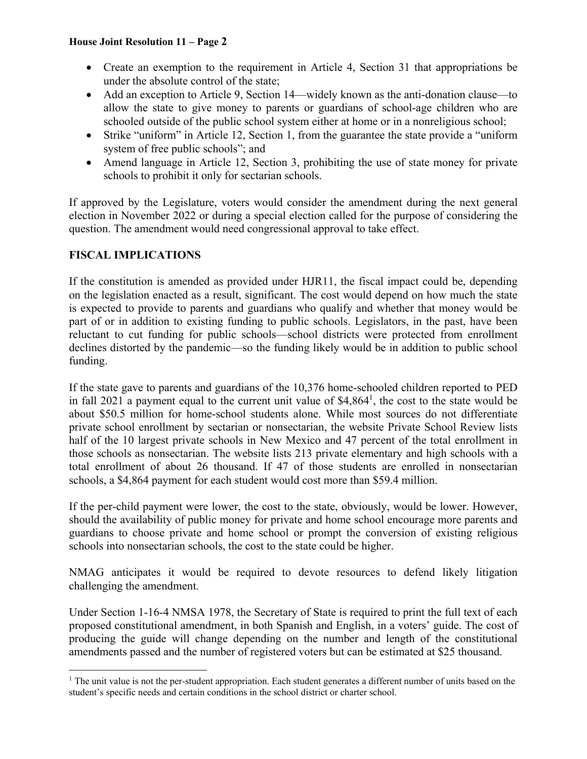#### **House Joint Resolution 11 – Page 2**

- Create an exemption to the requirement in Article 4, Section 31 that appropriations be under the absolute control of the state;
- Add an exception to Article 9, Section 14—widely known as the anti-donation clause—to allow the state to give money to parents or guardians of school-age children who are schooled outside of the public school system either at home or in a nonreligious school;
- Strike "uniform" in Article 12, Section 1, from the guarantee the state provide a "uniform system of free public schools"; and
- Amend language in Article 12, Section 3, prohibiting the use of state money for private schools to prohibit it only for sectarian schools.

If approved by the Legislature, voters would consider the amendment during the next general election in November 2022 or during a special election called for the purpose of considering the question. The amendment would need congressional approval to take effect.

# **FISCAL IMPLICATIONS**

 $\overline{a}$ 

If the constitution is amended as provided under HJR11, the fiscal impact could be, depending on the legislation enacted as a result, significant. The cost would depend on how much the state is expected to provide to parents and guardians who qualify and whether that money would be part of or in addition to existing funding to public schools. Legislators, in the past, have been reluctant to cut funding for public schools—school districts were protected from enrollment declines distorted by the pandemic—so the funding likely would be in addition to public school funding.

If the state gave to parents and guardians of the 10,376 home-schooled children reported to PED in fall 2021 a payment equal to the current unit value of  $$4,864<sup>1</sup>$ , the cost to the state would be about \$50.5 million for home-school students alone. While most sources do not differentiate private school enrollment by sectarian or nonsectarian, the website Private School Review lists half of the 10 largest private schools in New Mexico and 47 percent of the total enrollment in those schools as nonsectarian. The website lists 213 private elementary and high schools with a total enrollment of about 26 thousand. If 47 of those students are enrolled in nonsectarian schools, a \$4,864 payment for each student would cost more than \$59.4 million.

If the per-child payment were lower, the cost to the state, obviously, would be lower. However, should the availability of public money for private and home school encourage more parents and guardians to choose private and home school or prompt the conversion of existing religious schools into nonsectarian schools, the cost to the state could be higher.

NMAG anticipates it would be required to devote resources to defend likely litigation challenging the amendment.

Under Section 1-16-4 NMSA 1978, the Secretary of State is required to print the full text of each proposed constitutional amendment, in both Spanish and English, in a voters' guide. The cost of producing the guide will change depending on the number and length of the constitutional amendments passed and the number of registered voters but can be estimated at \$25 thousand.

<sup>&</sup>lt;sup>1</sup> The unit value is not the per-student appropriation. Each student generates a different number of units based on the student's specific needs and certain conditions in the school district or charter school.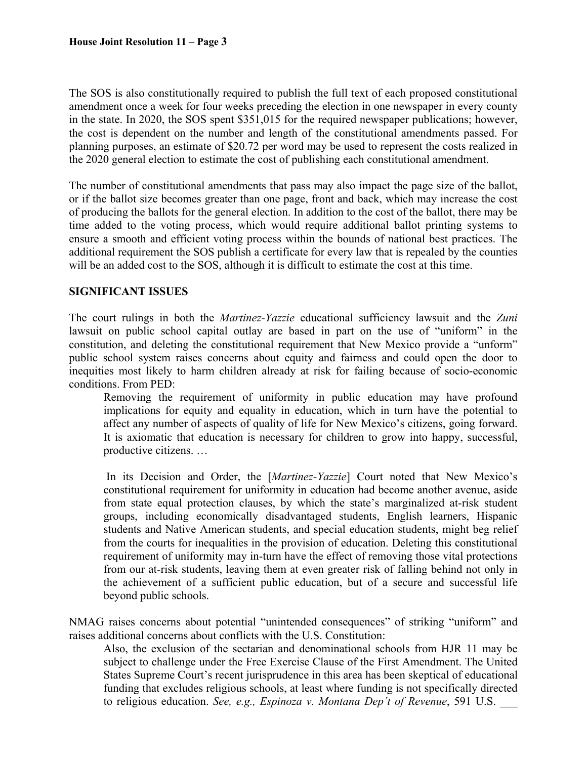The SOS is also constitutionally required to publish the full text of each proposed constitutional amendment once a week for four weeks preceding the election in one newspaper in every county in the state. In 2020, the SOS spent \$351,015 for the required newspaper publications; however, the cost is dependent on the number and length of the constitutional amendments passed. For planning purposes, an estimate of \$20.72 per word may be used to represent the costs realized in the 2020 general election to estimate the cost of publishing each constitutional amendment.

The number of constitutional amendments that pass may also impact the page size of the ballot, or if the ballot size becomes greater than one page, front and back, which may increase the cost of producing the ballots for the general election. In addition to the cost of the ballot, there may be time added to the voting process, which would require additional ballot printing systems to ensure a smooth and efficient voting process within the bounds of national best practices. The additional requirement the SOS publish a certificate for every law that is repealed by the counties will be an added cost to the SOS, although it is difficult to estimate the cost at this time.

# **SIGNIFICANT ISSUES**

The court rulings in both the *Martinez-Yazzie* educational sufficiency lawsuit and the *Zuni* lawsuit on public school capital outlay are based in part on the use of "uniform" in the constitution, and deleting the constitutional requirement that New Mexico provide a "unform" public school system raises concerns about equity and fairness and could open the door to inequities most likely to harm children already at risk for failing because of socio-economic conditions. From PED:

Removing the requirement of uniformity in public education may have profound implications for equity and equality in education, which in turn have the potential to affect any number of aspects of quality of life for New Mexico's citizens, going forward. It is axiomatic that education is necessary for children to grow into happy, successful, productive citizens. …

 In its Decision and Order, the [*Martinez-Yazzie*] Court noted that New Mexico's constitutional requirement for uniformity in education had become another avenue, aside from state equal protection clauses, by which the state's marginalized at-risk student groups, including economically disadvantaged students, English learners, Hispanic students and Native American students, and special education students, might beg relief from the courts for inequalities in the provision of education. Deleting this constitutional requirement of uniformity may in-turn have the effect of removing those vital protections from our at-risk students, leaving them at even greater risk of falling behind not only in the achievement of a sufficient public education, but of a secure and successful life beyond public schools.

NMAG raises concerns about potential "unintended consequences" of striking "uniform" and raises additional concerns about conflicts with the U.S. Constitution:

Also, the exclusion of the sectarian and denominational schools from HJR 11 may be subject to challenge under the Free Exercise Clause of the First Amendment. The United States Supreme Court's recent jurisprudence in this area has been skeptical of educational funding that excludes religious schools, at least where funding is not specifically directed to religious education. *See, e.g., Espinoza v. Montana Dep't of Revenue*, 591 U.S.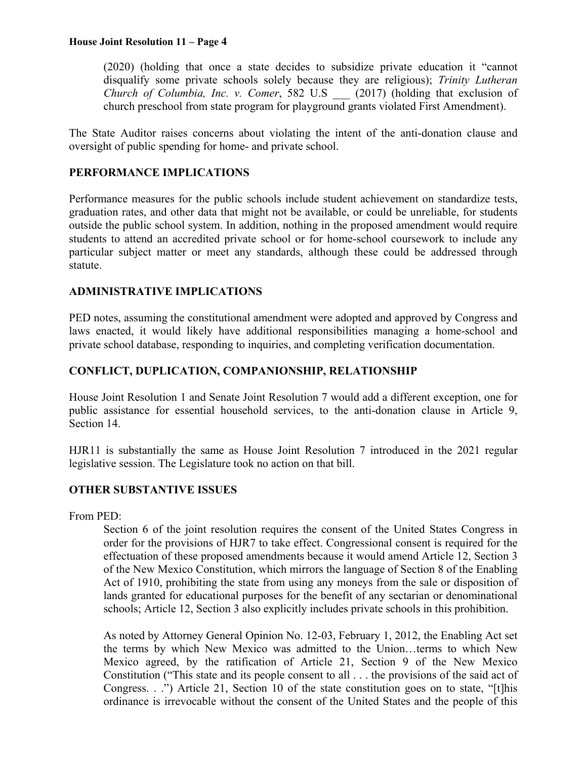#### **House Joint Resolution 11 – Page 4**

(2020) (holding that once a state decides to subsidize private education it "cannot disqualify some private schools solely because they are religious); *Trinity Lutheran Church of Columbia, Inc. v. Comer*, 582 U.S \_\_\_ (2017) (holding that exclusion of church preschool from state program for playground grants violated First Amendment).

The State Auditor raises concerns about violating the intent of the anti-donation clause and oversight of public spending for home- and private school.

#### **PERFORMANCE IMPLICATIONS**

Performance measures for the public schools include student achievement on standardize tests, graduation rates, and other data that might not be available, or could be unreliable, for students outside the public school system. In addition, nothing in the proposed amendment would require students to attend an accredited private school or for home-school coursework to include any particular subject matter or meet any standards, although these could be addressed through statute.

# **ADMINISTRATIVE IMPLICATIONS**

PED notes, assuming the constitutional amendment were adopted and approved by Congress and laws enacted, it would likely have additional responsibilities managing a home-school and private school database, responding to inquiries, and completing verification documentation.

# **CONFLICT, DUPLICATION, COMPANIONSHIP, RELATIONSHIP**

House Joint Resolution 1 and Senate Joint Resolution 7 would add a different exception, one for public assistance for essential household services, to the anti-donation clause in Article 9, Section 14.

HJR11 is substantially the same as House Joint Resolution 7 introduced in the 2021 regular legislative session. The Legislature took no action on that bill.

# **OTHER SUBSTANTIVE ISSUES**

From PED:

Section 6 of the joint resolution requires the consent of the United States Congress in order for the provisions of HJR7 to take effect. Congressional consent is required for the effectuation of these proposed amendments because it would amend Article 12, Section 3 of the New Mexico Constitution, which mirrors the language of Section 8 of the Enabling Act of 1910, prohibiting the state from using any moneys from the sale or disposition of lands granted for educational purposes for the benefit of any sectarian or denominational schools; Article 12, Section 3 also explicitly includes private schools in this prohibition.

As noted by Attorney General Opinion No. 12-03, February 1, 2012, the Enabling Act set the terms by which New Mexico was admitted to the Union…terms to which New Mexico agreed, by the ratification of Article 21, Section 9 of the New Mexico Constitution ("This state and its people consent to all . . . the provisions of the said act of Congress. . .") Article 21, Section 10 of the state constitution goes on to state, "[t]his ordinance is irrevocable without the consent of the United States and the people of this